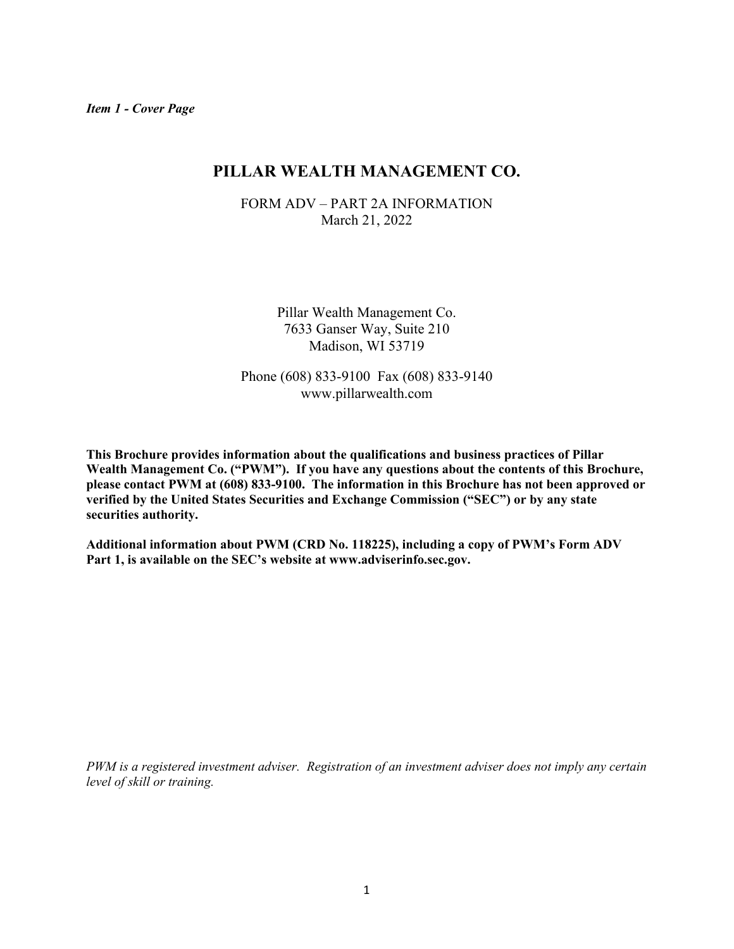## **PILLAR WEALTH MANAGEMENT CO.**

FORM ADV – PART 2A INFORMATION March 21, 2022

> Pillar Wealth Management Co. 7633 Ganser Way, Suite 210 Madison, WI 53719

Phone (608) 833-9100 Fax (608) 833-9140 www.pillarwealth.com

**This Brochure provides information about the qualifications and business practices of Pillar Wealth Management Co. ("PWM"). If you have any questions about the contents of this Brochure, please contact PWM at (608) 833-9100. The information in this Brochure has not been approved or verified by the United States Securities and Exchange Commission ("SEC") or by any state securities authority.** 

**Additional information about PWM (CRD No. 118225), including a copy of PWM's Form ADV Part 1, is available on the SEC's website at www.adviserinfo.sec.gov.** 

*PWM is a registered investment adviser. Registration of an investment adviser does not imply any certain level of skill or training.*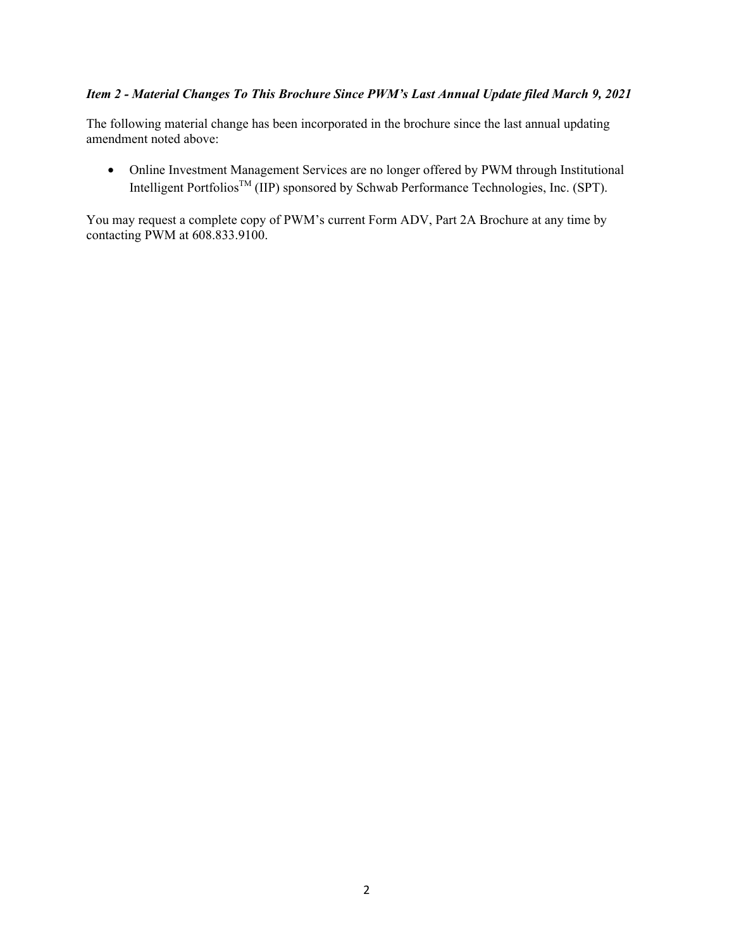## *Item 2 - Material Changes To This Brochure Since PWM's Last Annual Update filed March 9, 2021*

The following material change has been incorporated in the brochure since the last annual updating amendment noted above:

• Online Investment Management Services are no longer offered by PWM through Institutional Intelligent PortfoliosTM (IIP) sponsored by Schwab Performance Technologies, Inc. (SPT).

You may request a complete copy of PWM's current Form ADV, Part 2A Brochure at any time by contacting PWM at 608.833.9100.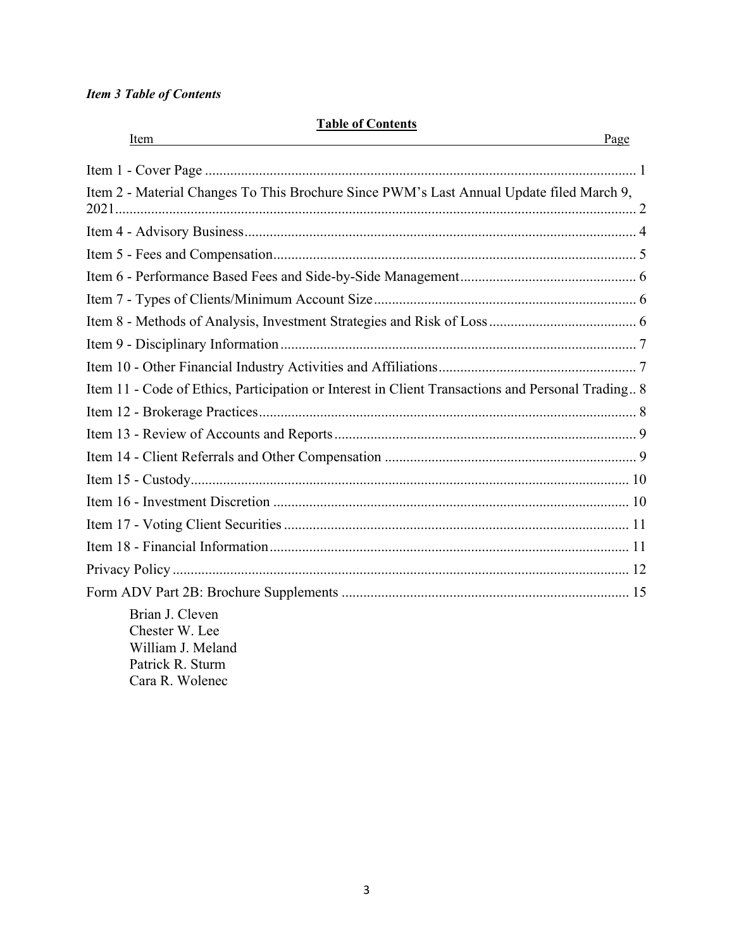## *Item 3 Table of Contents*

### **Table of Contents**

| Item<br>and the control of the control of the control of the control of the control of the control of the control of the | Page |
|--------------------------------------------------------------------------------------------------------------------------|------|
|                                                                                                                          |      |
| Item 2 - Material Changes To This Brochure Since PWM's Last Annual Update filed March 9,                                 |      |
|                                                                                                                          |      |
|                                                                                                                          |      |
|                                                                                                                          |      |
|                                                                                                                          |      |
|                                                                                                                          |      |
|                                                                                                                          |      |
|                                                                                                                          |      |
| Item 11 - Code of Ethics, Participation or Interest in Client Transactions and Personal Trading 8                        |      |
|                                                                                                                          |      |
|                                                                                                                          |      |
|                                                                                                                          |      |
|                                                                                                                          |      |
|                                                                                                                          |      |
|                                                                                                                          |      |
|                                                                                                                          |      |
|                                                                                                                          |      |
|                                                                                                                          |      |
| Brian J. Cleven<br>Chester W. Lee<br>William J. Meland<br>Patrick R. Sturm<br>Cara R. Wolenec                            |      |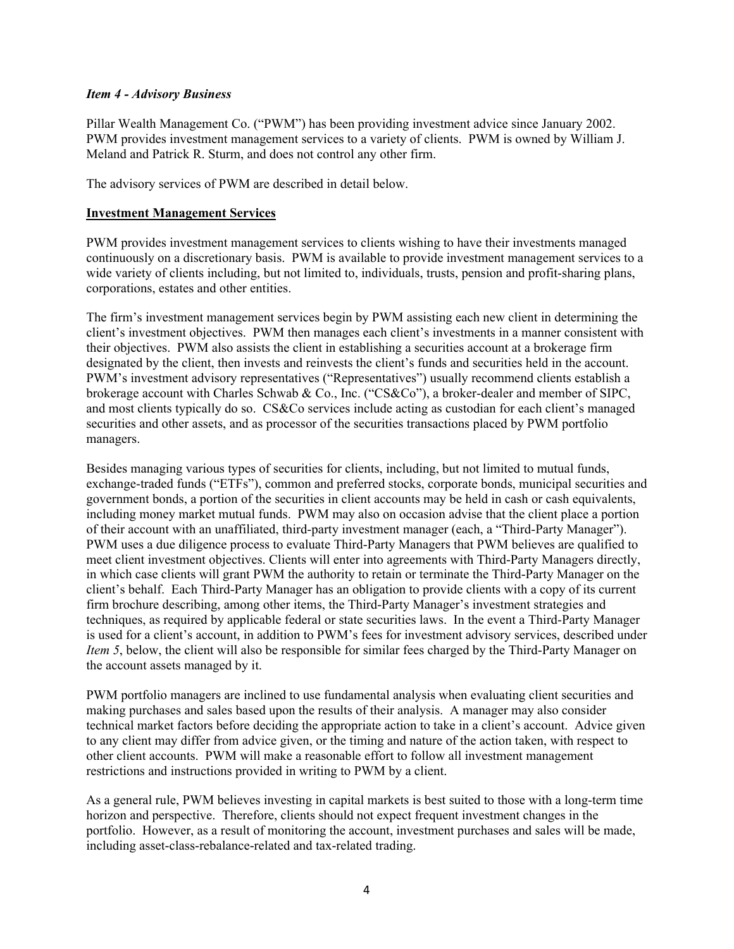#### *Item 4 - Advisory Business*

Pillar Wealth Management Co. ("PWM") has been providing investment advice since January 2002. PWM provides investment management services to a variety of clients. PWM is owned by William J. Meland and Patrick R. Sturm, and does not control any other firm.

The advisory services of PWM are described in detail below.

#### **Investment Management Services**

PWM provides investment management services to clients wishing to have their investments managed continuously on a discretionary basis. PWM is available to provide investment management services to a wide variety of clients including, but not limited to, individuals, trusts, pension and profit-sharing plans, corporations, estates and other entities.

The firm's investment management services begin by PWM assisting each new client in determining the client's investment objectives. PWM then manages each client's investments in a manner consistent with their objectives. PWM also assists the client in establishing a securities account at a brokerage firm designated by the client, then invests and reinvests the client's funds and securities held in the account. PWM's investment advisory representatives ("Representatives") usually recommend clients establish a brokerage account with Charles Schwab & Co., Inc. ("CS&Co"), a broker-dealer and member of SIPC, and most clients typically do so. CS&Co services include acting as custodian for each client's managed securities and other assets, and as processor of the securities transactions placed by PWM portfolio managers.

Besides managing various types of securities for clients, including, but not limited to mutual funds, exchange-traded funds ("ETFs"), common and preferred stocks, corporate bonds, municipal securities and government bonds, a portion of the securities in client accounts may be held in cash or cash equivalents, including money market mutual funds. PWM may also on occasion advise that the client place a portion of their account with an unaffiliated, third-party investment manager (each, a "Third-Party Manager"). PWM uses a due diligence process to evaluate Third-Party Managers that PWM believes are qualified to meet client investment objectives. Clients will enter into agreements with Third-Party Managers directly, in which case clients will grant PWM the authority to retain or terminate the Third-Party Manager on the client's behalf. Each Third-Party Manager has an obligation to provide clients with a copy of its current firm brochure describing, among other items, the Third-Party Manager's investment strategies and techniques, as required by applicable federal or state securities laws. In the event a Third-Party Manager is used for a client's account, in addition to PWM's fees for investment advisory services, described under *Item 5*, below, the client will also be responsible for similar fees charged by the Third-Party Manager on the account assets managed by it.

PWM portfolio managers are inclined to use fundamental analysis when evaluating client securities and making purchases and sales based upon the results of their analysis. A manager may also consider technical market factors before deciding the appropriate action to take in a client's account. Advice given to any client may differ from advice given, or the timing and nature of the action taken, with respect to other client accounts. PWM will make a reasonable effort to follow all investment management restrictions and instructions provided in writing to PWM by a client.

As a general rule, PWM believes investing in capital markets is best suited to those with a long-term time horizon and perspective. Therefore, clients should not expect frequent investment changes in the portfolio. However, as a result of monitoring the account, investment purchases and sales will be made, including asset-class-rebalance-related and tax-related trading.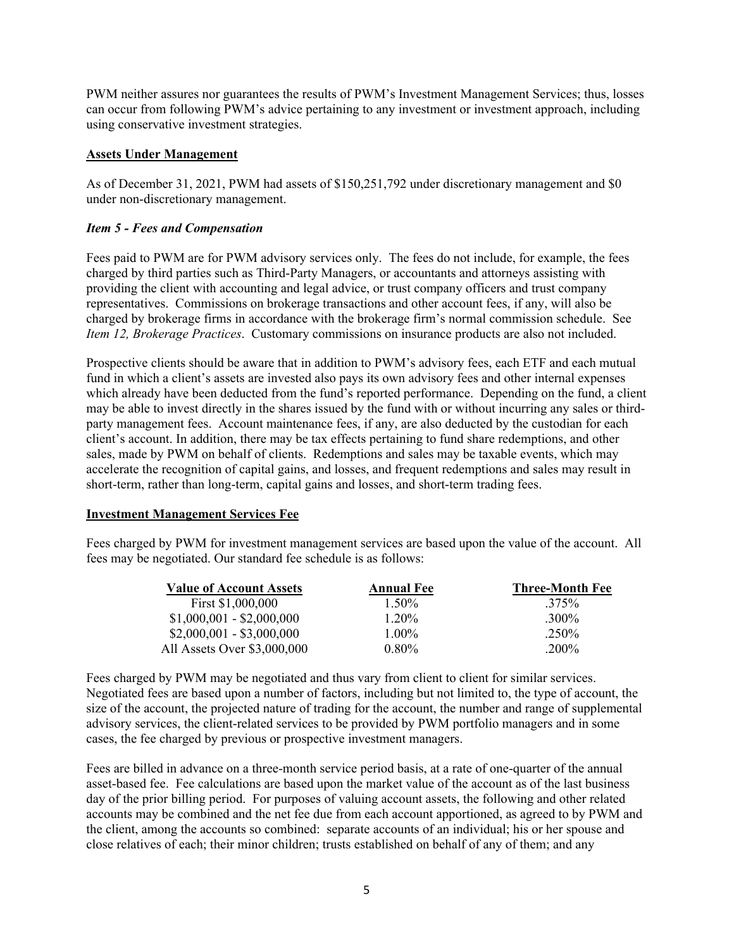PWM neither assures nor guarantees the results of PWM's Investment Management Services; thus, losses can occur from following PWM's advice pertaining to any investment or investment approach, including using conservative investment strategies.

#### **Assets Under Management**

As of December 31, 2021, PWM had assets of \$150,251,792 under discretionary management and \$0 under non-discretionary management.

#### *Item 5 - Fees and Compensation*

Fees paid to PWM are for PWM advisory services only. The fees do not include, for example, the fees charged by third parties such as Third-Party Managers, or accountants and attorneys assisting with providing the client with accounting and legal advice, or trust company officers and trust company representatives. Commissions on brokerage transactions and other account fees, if any, will also be charged by brokerage firms in accordance with the brokerage firm's normal commission schedule. See *Item 12, Brokerage Practices*. Customary commissions on insurance products are also not included.

Prospective clients should be aware that in addition to PWM's advisory fees, each ETF and each mutual fund in which a client's assets are invested also pays its own advisory fees and other internal expenses which already have been deducted from the fund's reported performance. Depending on the fund, a client may be able to invest directly in the shares issued by the fund with or without incurring any sales or thirdparty management fees. Account maintenance fees, if any, are also deducted by the custodian for each client's account. In addition, there may be tax effects pertaining to fund share redemptions, and other sales, made by PWM on behalf of clients. Redemptions and sales may be taxable events, which may accelerate the recognition of capital gains, and losses, and frequent redemptions and sales may result in short-term, rather than long-term, capital gains and losses, and short-term trading fees.

#### **Investment Management Services Fee**

Fees charged by PWM for investment management services are based upon the value of the account. All fees may be negotiated. Our standard fee schedule is as follows:

| <b>Value of Account Assets</b> | <b>Annual Fee</b> | <b>Three-Month Fee</b> |
|--------------------------------|-------------------|------------------------|
| First \$1,000,000              | $1.50\%$          | .375%                  |
| $$1,000,001 - $2,000,000$      | $1.20\%$          | $.300\%$               |
| $$2,000,001 - $3,000,000$      | $1.00\%$          | $.250\%$               |
| All Assets Over \$3,000,000    | $0.80\%$          | $.200\%$               |

Fees charged by PWM may be negotiated and thus vary from client to client for similar services. Negotiated fees are based upon a number of factors, including but not limited to, the type of account, the size of the account, the projected nature of trading for the account, the number and range of supplemental advisory services, the client-related services to be provided by PWM portfolio managers and in some cases, the fee charged by previous or prospective investment managers.

Fees are billed in advance on a three-month service period basis, at a rate of one-quarter of the annual asset-based fee. Fee calculations are based upon the market value of the account as of the last business day of the prior billing period. For purposes of valuing account assets, the following and other related accounts may be combined and the net fee due from each account apportioned, as agreed to by PWM and the client, among the accounts so combined: separate accounts of an individual; his or her spouse and close relatives of each; their minor children; trusts established on behalf of any of them; and any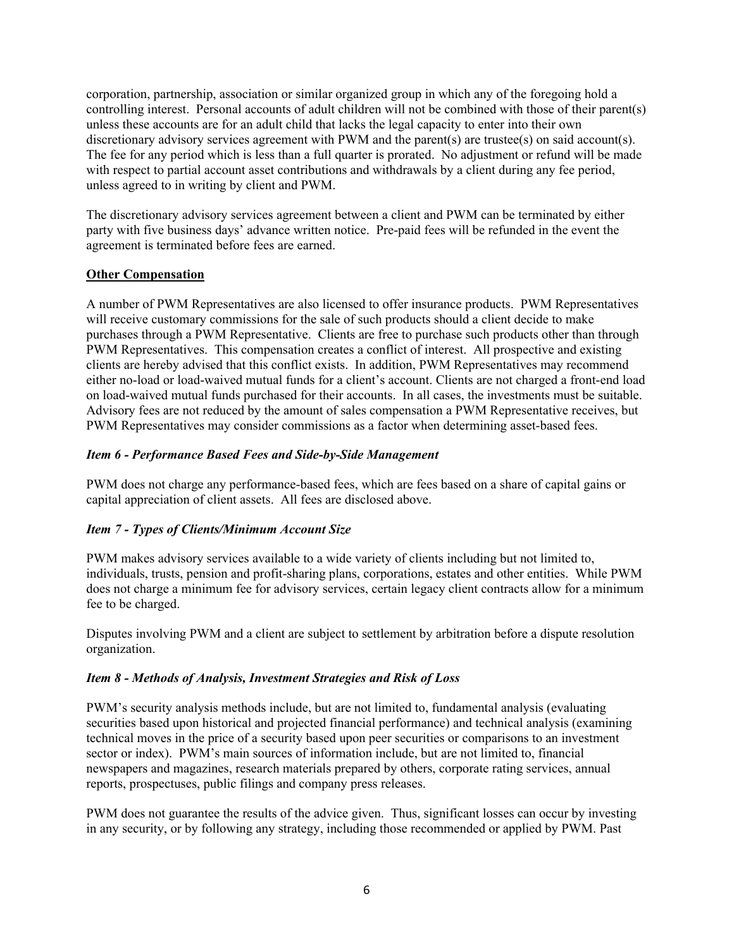corporation, partnership, association or similar organized group in which any of the foregoing hold a controlling interest. Personal accounts of adult children will not be combined with those of their parent(s) unless these accounts are for an adult child that lacks the legal capacity to enter into their own discretionary advisory services agreement with PWM and the parent(s) are trustee(s) on said account(s). The fee for any period which is less than a full quarter is prorated. No adjustment or refund will be made with respect to partial account asset contributions and withdrawals by a client during any fee period, unless agreed to in writing by client and PWM.

The discretionary advisory services agreement between a client and PWM can be terminated by either party with five business days' advance written notice. Pre-paid fees will be refunded in the event the agreement is terminated before fees are earned.

### **Other Compensation**

A number of PWM Representatives are also licensed to offer insurance products. PWM Representatives will receive customary commissions for the sale of such products should a client decide to make purchases through a PWM Representative. Clients are free to purchase such products other than through PWM Representatives. This compensation creates a conflict of interest. All prospective and existing clients are hereby advised that this conflict exists. In addition, PWM Representatives may recommend either no-load or load-waived mutual funds for a client's account. Clients are not charged a front-end load on load-waived mutual funds purchased for their accounts. In all cases, the investments must be suitable. Advisory fees are not reduced by the amount of sales compensation a PWM Representative receives, but PWM Representatives may consider commissions as a factor when determining asset-based fees.

### *Item 6 - Performance Based Fees and Side-by-Side Management*

PWM does not charge any performance-based fees, which are fees based on a share of capital gains or capital appreciation of client assets. All fees are disclosed above.

## *Item 7 - Types of Clients/Minimum Account Size*

PWM makes advisory services available to a wide variety of clients including but not limited to, individuals, trusts, pension and profit-sharing plans, corporations, estates and other entities. While PWM does not charge a minimum fee for advisory services, certain legacy client contracts allow for a minimum fee to be charged.

Disputes involving PWM and a client are subject to settlement by arbitration before a dispute resolution organization.

#### *Item 8 - Methods of Analysis, Investment Strategies and Risk of Loss*

PWM's security analysis methods include, but are not limited to, fundamental analysis (evaluating securities based upon historical and projected financial performance) and technical analysis (examining technical moves in the price of a security based upon peer securities or comparisons to an investment sector or index). PWM's main sources of information include, but are not limited to, financial newspapers and magazines, research materials prepared by others, corporate rating services, annual reports, prospectuses, public filings and company press releases.

PWM does not guarantee the results of the advice given. Thus, significant losses can occur by investing in any security, or by following any strategy, including those recommended or applied by PWM. Past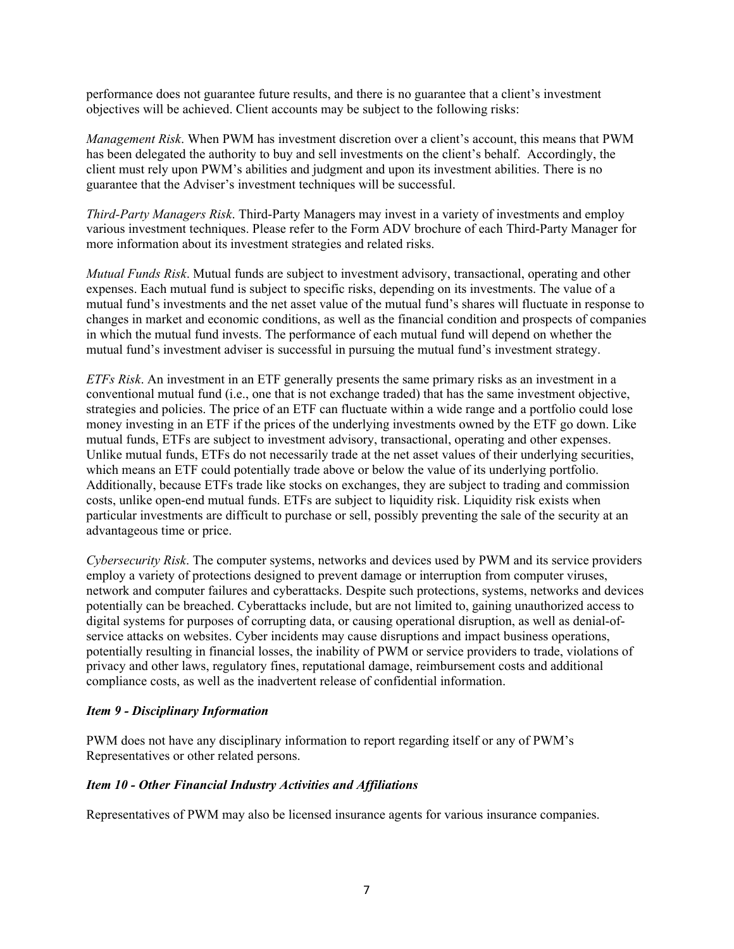performance does not guarantee future results, and there is no guarantee that a client's investment objectives will be achieved. Client accounts may be subject to the following risks:

*Management Risk*. When PWM has investment discretion over a client's account, this means that PWM has been delegated the authority to buy and sell investments on the client's behalf. Accordingly, the client must rely upon PWM's abilities and judgment and upon its investment abilities. There is no guarantee that the Adviser's investment techniques will be successful.

*Third-Party Managers Risk*. Third-Party Managers may invest in a variety of investments and employ various investment techniques. Please refer to the Form ADV brochure of each Third-Party Manager for more information about its investment strategies and related risks.

*Mutual Funds Risk*. Mutual funds are subject to investment advisory, transactional, operating and other expenses. Each mutual fund is subject to specific risks, depending on its investments. The value of a mutual fund's investments and the net asset value of the mutual fund's shares will fluctuate in response to changes in market and economic conditions, as well as the financial condition and prospects of companies in which the mutual fund invests. The performance of each mutual fund will depend on whether the mutual fund's investment adviser is successful in pursuing the mutual fund's investment strategy.

*ETFs Risk*. An investment in an ETF generally presents the same primary risks as an investment in a conventional mutual fund (i.e., one that is not exchange traded) that has the same investment objective, strategies and policies. The price of an ETF can fluctuate within a wide range and a portfolio could lose money investing in an ETF if the prices of the underlying investments owned by the ETF go down. Like mutual funds, ETFs are subject to investment advisory, transactional, operating and other expenses. Unlike mutual funds, ETFs do not necessarily trade at the net asset values of their underlying securities, which means an ETF could potentially trade above or below the value of its underlying portfolio. Additionally, because ETFs trade like stocks on exchanges, they are subject to trading and commission costs, unlike open-end mutual funds. ETFs are subject to liquidity risk. Liquidity risk exists when particular investments are difficult to purchase or sell, possibly preventing the sale of the security at an advantageous time or price.

*Cybersecurity Risk*. The computer systems, networks and devices used by PWM and its service providers employ a variety of protections designed to prevent damage or interruption from computer viruses, network and computer failures and cyberattacks. Despite such protections, systems, networks and devices potentially can be breached. Cyberattacks include, but are not limited to, gaining unauthorized access to digital systems for purposes of corrupting data, or causing operational disruption, as well as denial-ofservice attacks on websites. Cyber incidents may cause disruptions and impact business operations, potentially resulting in financial losses, the inability of PWM or service providers to trade, violations of privacy and other laws, regulatory fines, reputational damage, reimbursement costs and additional compliance costs, as well as the inadvertent release of confidential information.

#### *Item 9 - Disciplinary Information*

PWM does not have any disciplinary information to report regarding itself or any of PWM's Representatives or other related persons.

#### *Item 10 - Other Financial Industry Activities and Affiliations*

Representatives of PWM may also be licensed insurance agents for various insurance companies.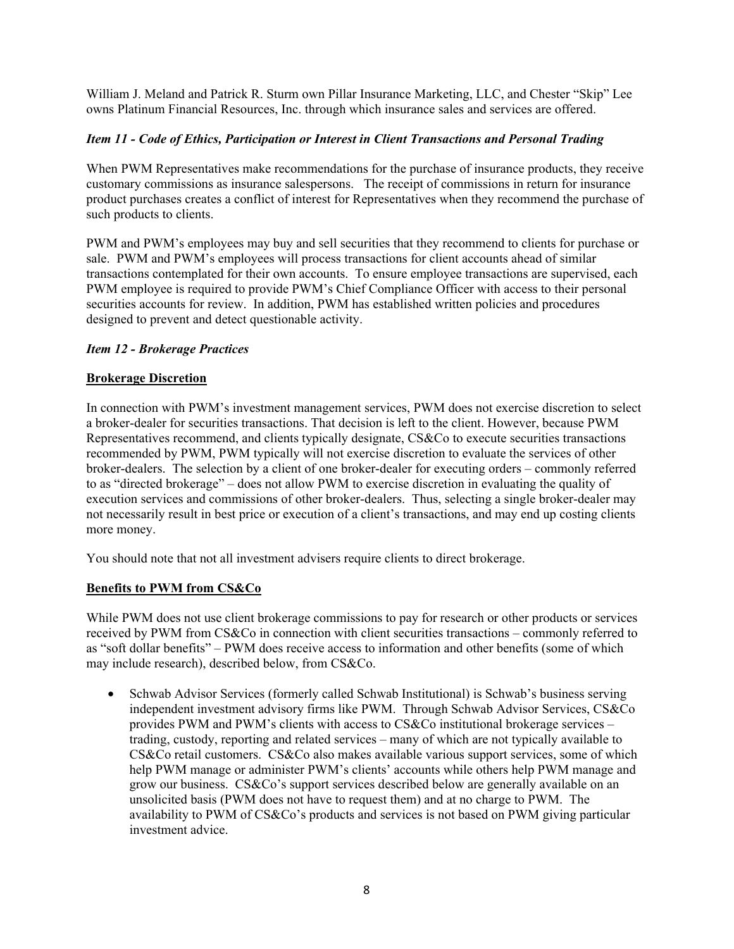William J. Meland and Patrick R. Sturm own Pillar Insurance Marketing, LLC, and Chester "Skip" Lee owns Platinum Financial Resources, Inc. through which insurance sales and services are offered.

## *Item 11 - Code of Ethics, Participation or Interest in Client Transactions and Personal Trading*

When PWM Representatives make recommendations for the purchase of insurance products, they receive customary commissions as insurance salespersons. The receipt of commissions in return for insurance product purchases creates a conflict of interest for Representatives when they recommend the purchase of such products to clients.

PWM and PWM's employees may buy and sell securities that they recommend to clients for purchase or sale. PWM and PWM's employees will process transactions for client accounts ahead of similar transactions contemplated for their own accounts. To ensure employee transactions are supervised, each PWM employee is required to provide PWM's Chief Compliance Officer with access to their personal securities accounts for review. In addition, PWM has established written policies and procedures designed to prevent and detect questionable activity.

#### *Item 12 - Brokerage Practices*

### **Brokerage Discretion**

In connection with PWM's investment management services, PWM does not exercise discretion to select a broker-dealer for securities transactions. That decision is left to the client. However, because PWM Representatives recommend, and clients typically designate, CS&Co to execute securities transactions recommended by PWM, PWM typically will not exercise discretion to evaluate the services of other broker-dealers. The selection by a client of one broker-dealer for executing orders – commonly referred to as "directed brokerage" – does not allow PWM to exercise discretion in evaluating the quality of execution services and commissions of other broker-dealers. Thus, selecting a single broker-dealer may not necessarily result in best price or execution of a client's transactions, and may end up costing clients more money.

You should note that not all investment advisers require clients to direct brokerage.

#### **Benefits to PWM from CS&Co**

While PWM does not use client brokerage commissions to pay for research or other products or services received by PWM from CS&Co in connection with client securities transactions – commonly referred to as "soft dollar benefits" – PWM does receive access to information and other benefits (some of which may include research), described below, from CS&Co.

• Schwab Advisor Services (formerly called Schwab Institutional) is Schwab's business serving independent investment advisory firms like PWM. Through Schwab Advisor Services, CS&Co provides PWM and PWM's clients with access to CS&Co institutional brokerage services – trading, custody, reporting and related services – many of which are not typically available to CS&Co retail customers. CS&Co also makes available various support services, some of which help PWM manage or administer PWM's clients' accounts while others help PWM manage and grow our business. CS&Co's support services described below are generally available on an unsolicited basis (PWM does not have to request them) and at no charge to PWM. The availability to PWM of CS&Co's products and services is not based on PWM giving particular investment advice.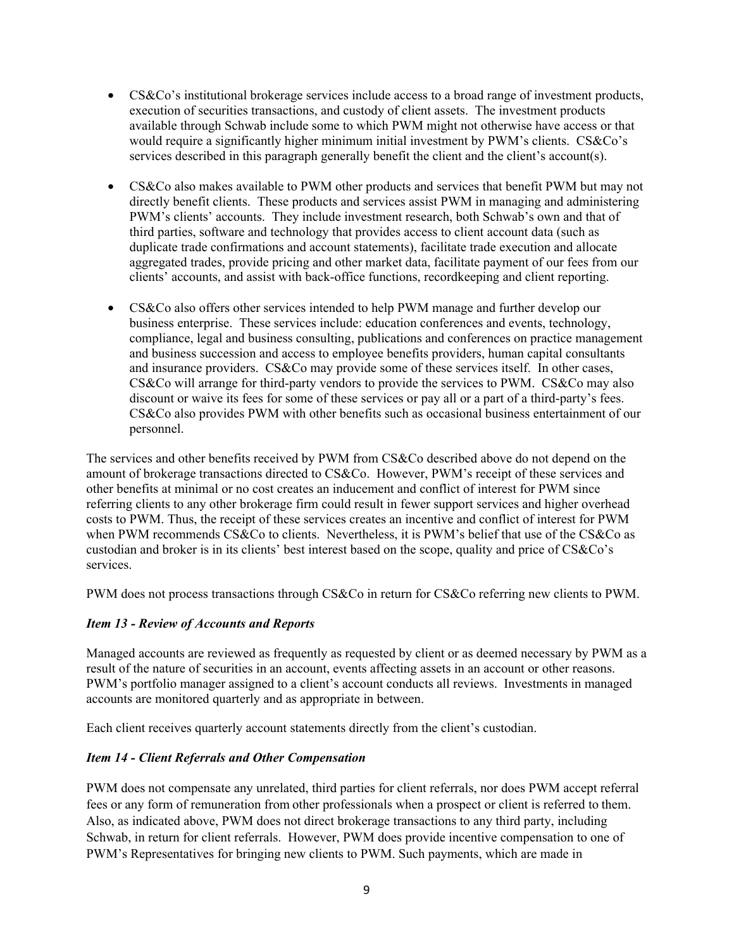- CS&Co's institutional brokerage services include access to a broad range of investment products, execution of securities transactions, and custody of client assets. The investment products available through Schwab include some to which PWM might not otherwise have access or that would require a significantly higher minimum initial investment by PWM's clients. CS&Co's services described in this paragraph generally benefit the client and the client's account(s).
- CS&Co also makes available to PWM other products and services that benefit PWM but may not directly benefit clients. These products and services assist PWM in managing and administering PWM's clients' accounts. They include investment research, both Schwab's own and that of third parties, software and technology that provides access to client account data (such as duplicate trade confirmations and account statements), facilitate trade execution and allocate aggregated trades, provide pricing and other market data, facilitate payment of our fees from our clients' accounts, and assist with back-office functions, recordkeeping and client reporting.
- CS&Co also offers other services intended to help PWM manage and further develop our business enterprise. These services include: education conferences and events, technology, compliance, legal and business consulting, publications and conferences on practice management and business succession and access to employee benefits providers, human capital consultants and insurance providers. CS&Co may provide some of these services itself. In other cases, CS&Co will arrange for third-party vendors to provide the services to PWM. CS&Co may also discount or waive its fees for some of these services or pay all or a part of a third-party's fees. CS&Co also provides PWM with other benefits such as occasional business entertainment of our personnel.

The services and other benefits received by PWM from CS&Co described above do not depend on the amount of brokerage transactions directed to CS&Co. However, PWM's receipt of these services and other benefits at minimal or no cost creates an inducement and conflict of interest for PWM since referring clients to any other brokerage firm could result in fewer support services and higher overhead costs to PWM. Thus, the receipt of these services creates an incentive and conflict of interest for PWM when PWM recommends CS&Co to clients. Nevertheless, it is PWM's belief that use of the CS&Co as custodian and broker is in its clients' best interest based on the scope, quality and price of CS&Co's services.

PWM does not process transactions through CS&Co in return for CS&Co referring new clients to PWM.

#### *Item 13 - Review of Accounts and Reports*

Managed accounts are reviewed as frequently as requested by client or as deemed necessary by PWM as a result of the nature of securities in an account, events affecting assets in an account or other reasons. PWM's portfolio manager assigned to a client's account conducts all reviews. Investments in managed accounts are monitored quarterly and as appropriate in between.

Each client receives quarterly account statements directly from the client's custodian.

#### *Item 14 - Client Referrals and Other Compensation*

PWM does not compensate any unrelated, third parties for client referrals, nor does PWM accept referral fees or any form of remuneration from other professionals when a prospect or client is referred to them. Also, as indicated above, PWM does not direct brokerage transactions to any third party, including Schwab, in return for client referrals. However, PWM does provide incentive compensation to one of PWM's Representatives for bringing new clients to PWM. Such payments, which are made in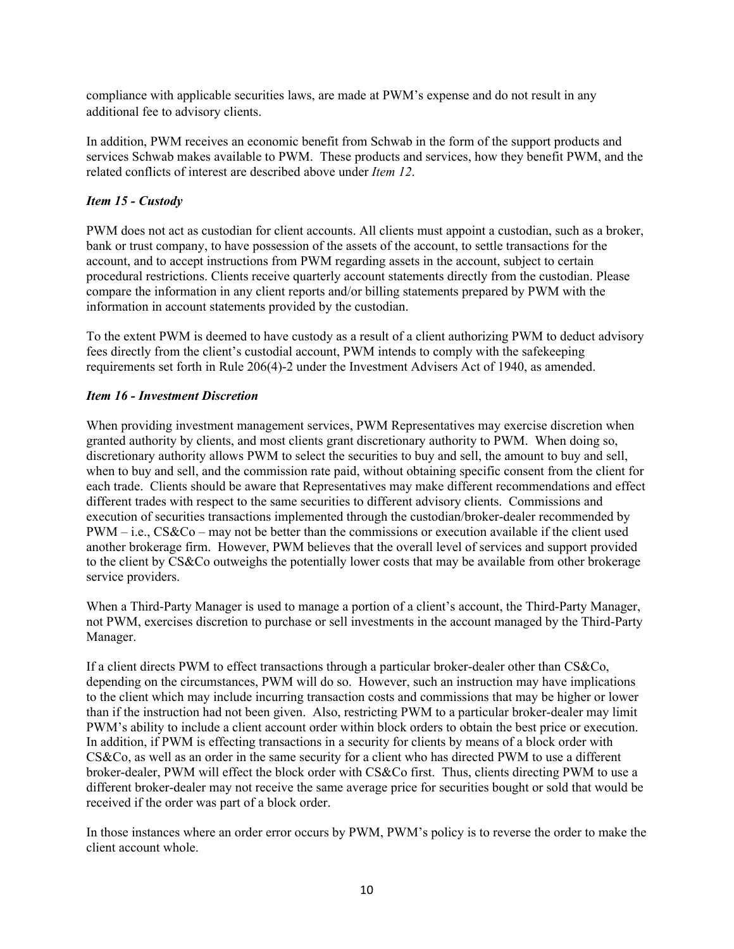compliance with applicable securities laws, are made at PWM's expense and do not result in any additional fee to advisory clients.

In addition, PWM receives an economic benefit from Schwab in the form of the support products and services Schwab makes available to PWM. These products and services, how they benefit PWM, and the related conflicts of interest are described above under *Item 12*.

## *Item 15 - Custody*

PWM does not act as custodian for client accounts. All clients must appoint a custodian, such as a broker, bank or trust company, to have possession of the assets of the account, to settle transactions for the account, and to accept instructions from PWM regarding assets in the account, subject to certain procedural restrictions. Clients receive quarterly account statements directly from the custodian. Please compare the information in any client reports and/or billing statements prepared by PWM with the information in account statements provided by the custodian.

To the extent PWM is deemed to have custody as a result of a client authorizing PWM to deduct advisory fees directly from the client's custodial account, PWM intends to comply with the safekeeping requirements set forth in Rule 206(4)-2 under the Investment Advisers Act of 1940, as amended.

### *Item 16 - Investment Discretion*

When providing investment management services, PWM Representatives may exercise discretion when granted authority by clients, and most clients grant discretionary authority to PWM. When doing so, discretionary authority allows PWM to select the securities to buy and sell, the amount to buy and sell, when to buy and sell, and the commission rate paid, without obtaining specific consent from the client for each trade. Clients should be aware that Representatives may make different recommendations and effect different trades with respect to the same securities to different advisory clients. Commissions and execution of securities transactions implemented through the custodian/broker-dealer recommended by  $PWM - i.e., CS&Co - may not be better than the commissions or execution available if the client used$ another brokerage firm. However, PWM believes that the overall level of services and support provided to the client by CS&Co outweighs the potentially lower costs that may be available from other brokerage service providers.

When a Third-Party Manager is used to manage a portion of a client's account, the Third-Party Manager, not PWM, exercises discretion to purchase or sell investments in the account managed by the Third-Party Manager.

If a client directs PWM to effect transactions through a particular broker-dealer other than CS&Co, depending on the circumstances, PWM will do so. However, such an instruction may have implications to the client which may include incurring transaction costs and commissions that may be higher or lower than if the instruction had not been given. Also, restricting PWM to a particular broker-dealer may limit PWM's ability to include a client account order within block orders to obtain the best price or execution. In addition, if PWM is effecting transactions in a security for clients by means of a block order with CS&Co, as well as an order in the same security for a client who has directed PWM to use a different broker-dealer, PWM will effect the block order with CS&Co first. Thus, clients directing PWM to use a different broker-dealer may not receive the same average price for securities bought or sold that would be received if the order was part of a block order.

In those instances where an order error occurs by PWM, PWM's policy is to reverse the order to make the client account whole.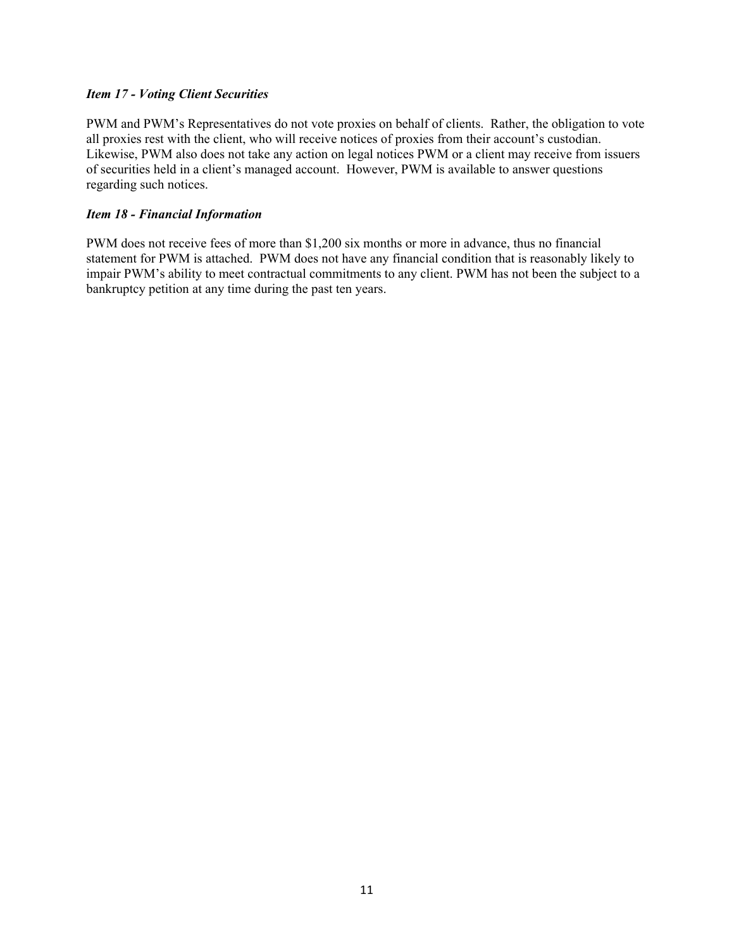#### *Item 17 - Voting Client Securities*

PWM and PWM's Representatives do not vote proxies on behalf of clients. Rather, the obligation to vote all proxies rest with the client, who will receive notices of proxies from their account's custodian. Likewise, PWM also does not take any action on legal notices PWM or a client may receive from issuers of securities held in a client's managed account. However, PWM is available to answer questions regarding such notices.

### *Item 18 - Financial Information*

PWM does not receive fees of more than \$1,200 six months or more in advance, thus no financial statement for PWM is attached. PWM does not have any financial condition that is reasonably likely to impair PWM's ability to meet contractual commitments to any client. PWM has not been the subject to a bankruptcy petition at any time during the past ten years.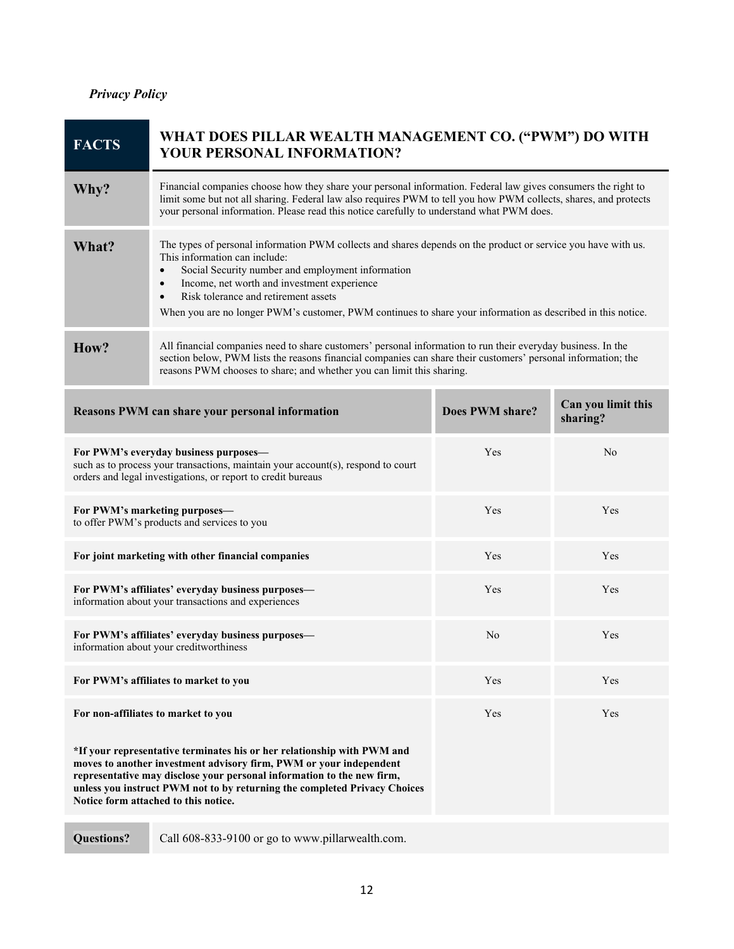## *Privacy Policy*

| <b>FACTS</b>                                                                                                                                                                                                                                                                                                                                 | WHAT DOES PILLAR WEALTH MANAGEMENT CO. ("PWM") DO WITH<br>YOUR PERSONAL INFORMATION?                                                                                                                                                                                                                                                                                                                                                             |                 |                                |
|----------------------------------------------------------------------------------------------------------------------------------------------------------------------------------------------------------------------------------------------------------------------------------------------------------------------------------------------|--------------------------------------------------------------------------------------------------------------------------------------------------------------------------------------------------------------------------------------------------------------------------------------------------------------------------------------------------------------------------------------------------------------------------------------------------|-----------------|--------------------------------|
| Why?                                                                                                                                                                                                                                                                                                                                         | Financial companies choose how they share your personal information. Federal law gives consumers the right to<br>limit some but not all sharing. Federal law also requires PWM to tell you how PWM collects, shares, and protects<br>your personal information. Please read this notice carefully to understand what PWM does.                                                                                                                   |                 |                                |
| What?                                                                                                                                                                                                                                                                                                                                        | The types of personal information PWM collects and shares depends on the product or service you have with us.<br>This information can include:<br>Social Security number and employment information<br>$\bullet$<br>Income, net worth and investment experience<br>$\bullet$<br>Risk tolerance and retirement assets<br>$\bullet$<br>When you are no longer PWM's customer, PWM continues to share your information as described in this notice. |                 |                                |
| How?                                                                                                                                                                                                                                                                                                                                         | All financial companies need to share customers' personal information to run their everyday business. In the<br>section below, PWM lists the reasons financial companies can share their customers' personal information; the<br>reasons PWM chooses to share; and whether you can limit this sharing.                                                                                                                                           |                 |                                |
|                                                                                                                                                                                                                                                                                                                                              | Reasons PWM can share your personal information                                                                                                                                                                                                                                                                                                                                                                                                  | Does PWM share? | Can you limit this<br>sharing? |
| For PWM's everyday business purposes-<br>such as to process your transactions, maintain your account(s), respond to court<br>orders and legal investigations, or report to credit bureaus                                                                                                                                                    |                                                                                                                                                                                                                                                                                                                                                                                                                                                  | Yes             | N <sub>o</sub>                 |
| For PWM's marketing purposes-<br>to offer PWM's products and services to you                                                                                                                                                                                                                                                                 |                                                                                                                                                                                                                                                                                                                                                                                                                                                  | Yes             | Yes                            |
| For joint marketing with other financial companies                                                                                                                                                                                                                                                                                           |                                                                                                                                                                                                                                                                                                                                                                                                                                                  | Yes             | Yes                            |
| For PWM's affiliates' everyday business purposes-<br>information about your transactions and experiences                                                                                                                                                                                                                                     |                                                                                                                                                                                                                                                                                                                                                                                                                                                  | Yes             | Yes                            |
| For PWM's affiliates' everyday business purposes-<br>information about your creditworthiness                                                                                                                                                                                                                                                 |                                                                                                                                                                                                                                                                                                                                                                                                                                                  | No              | Yes                            |
| For PWM's affiliates to market to you                                                                                                                                                                                                                                                                                                        |                                                                                                                                                                                                                                                                                                                                                                                                                                                  | Yes             | Yes                            |
|                                                                                                                                                                                                                                                                                                                                              | For non-affiliates to market to you                                                                                                                                                                                                                                                                                                                                                                                                              | Yes             | Yes                            |
| *If your representative terminates his or her relationship with PWM and<br>moves to another investment advisory firm, PWM or your independent<br>representative may disclose your personal information to the new firm,<br>unless you instruct PWM not to by returning the completed Privacy Choices<br>Notice form attached to this notice. |                                                                                                                                                                                                                                                                                                                                                                                                                                                  |                 |                                |
| <b>Questions?</b>                                                                                                                                                                                                                                                                                                                            | Call 608-833-9100 or go to www.pillarwealth.com.                                                                                                                                                                                                                                                                                                                                                                                                 |                 |                                |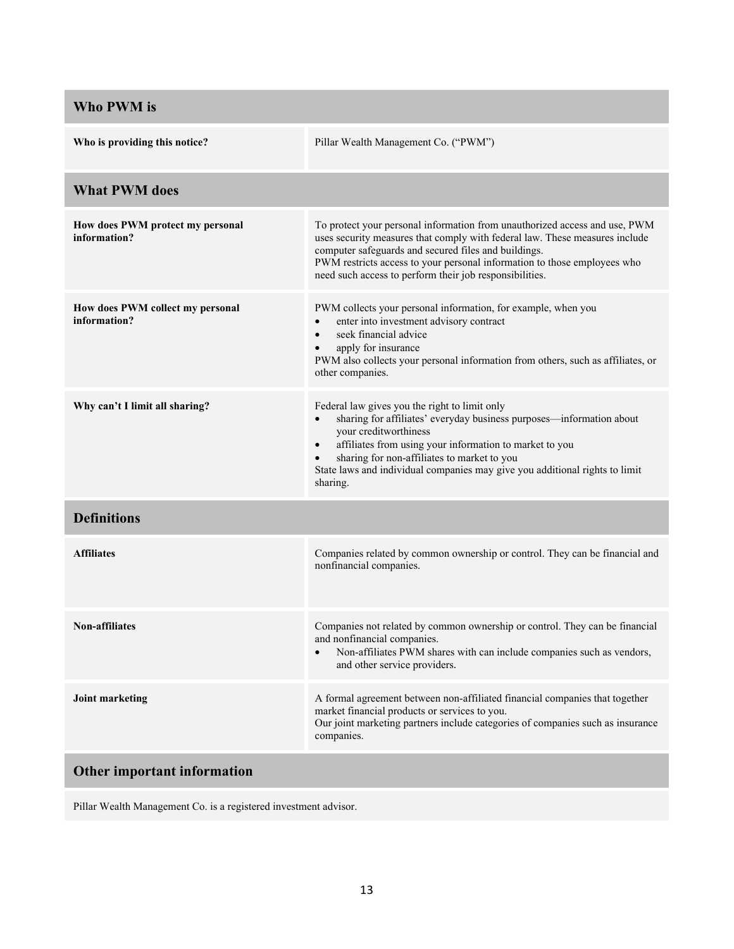| Who PWM is                                       |                                                                                                                                                                                                                                                                                                                                                                  |  |  |
|--------------------------------------------------|------------------------------------------------------------------------------------------------------------------------------------------------------------------------------------------------------------------------------------------------------------------------------------------------------------------------------------------------------------------|--|--|
| Who is providing this notice?                    | Pillar Wealth Management Co. ("PWM")                                                                                                                                                                                                                                                                                                                             |  |  |
| <b>What PWM does</b>                             |                                                                                                                                                                                                                                                                                                                                                                  |  |  |
| How does PWM protect my personal<br>information? | To protect your personal information from unauthorized access and use, PWM<br>uses security measures that comply with federal law. These measures include<br>computer safeguards and secured files and buildings.<br>PWM restricts access to your personal information to those employees who<br>need such access to perform their job responsibilities.         |  |  |
| How does PWM collect my personal<br>information? | PWM collects your personal information, for example, when you<br>enter into investment advisory contract<br>$\bullet$<br>seek financial advice<br>$\bullet$<br>apply for insurance<br>PWM also collects your personal information from others, such as affiliates, or<br>other companies.                                                                        |  |  |
| Why can't I limit all sharing?                   | Federal law gives you the right to limit only<br>sharing for affiliates' everyday business purposes—information about<br>your creditworthiness<br>affiliates from using your information to market to you<br>$\bullet$<br>sharing for non-affiliates to market to you<br>State laws and individual companies may give you additional rights to limit<br>sharing. |  |  |
| <b>Definitions</b>                               |                                                                                                                                                                                                                                                                                                                                                                  |  |  |
| <b>Affiliates</b>                                | Companies related by common ownership or control. They can be financial and<br>nonfinancial companies.                                                                                                                                                                                                                                                           |  |  |
| Non-affiliates                                   | Companies not related by common ownership or control. They can be financial<br>and nonfinancial companies.<br>Non-affiliates PWM shares with can include companies such as vendors,<br>$\bullet$<br>and other service providers.                                                                                                                                 |  |  |
| Joint marketing                                  | A formal agreement between non-affiliated financial companies that together<br>market financial products or services to you.<br>Our joint marketing partners include categories of companies such as insurance<br>companies.                                                                                                                                     |  |  |
| Other important information                      |                                                                                                                                                                                                                                                                                                                                                                  |  |  |

Pillar Wealth Management Co. is a registered investment advisor.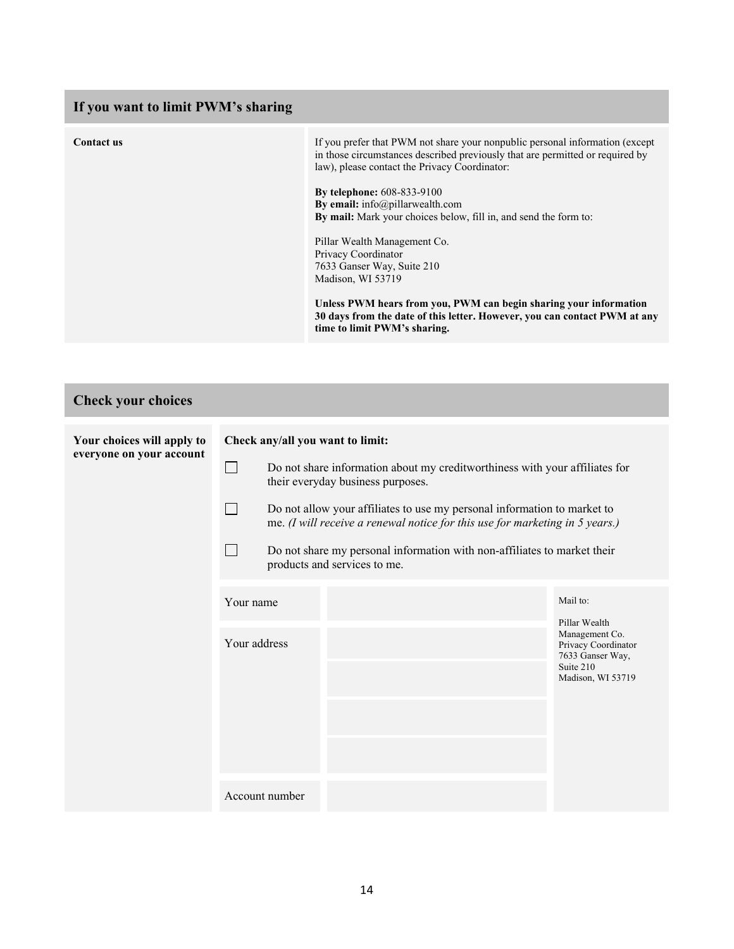## **If you want to limit PWM's sharing Contact us** If you prefer that PWM not share your nonpublic personal information (except in those circumstances described previously that are permitted or required by law), please contact the Privacy Coordinator: **By telephone:** 608-833-9100 **By email:** info@pillarwealth.com **By mail:** Mark your choices below, fill in, and send the form to: Pillar Wealth Management Co. Privacy Coordinator 7633 Ganser Way, Suite 210 Madison, WI 53719 **Unless PWM hears from you, PWM can begin sharing your information 30 days from the date of this letter. However, you can contact PWM at any time to limit PWM's sharing.**

| <b>Check your choices</b>                              |                                                                                                                                 |                                                                                                                                                                                                                                                                                                             |  |                                                                                                              |
|--------------------------------------------------------|---------------------------------------------------------------------------------------------------------------------------------|-------------------------------------------------------------------------------------------------------------------------------------------------------------------------------------------------------------------------------------------------------------------------------------------------------------|--|--------------------------------------------------------------------------------------------------------------|
| Your choices will apply to<br>everyone on your account | Check any/all you want to limit:<br>Do not share information about my creditworthiness with your affiliates for<br>$\mathbf{L}$ |                                                                                                                                                                                                                                                                                                             |  |                                                                                                              |
|                                                        |                                                                                                                                 | their everyday business purposes.<br>Do not allow your affiliates to use my personal information to market to<br>me. (I will receive a renewal notice for this use for marketing in $5$ years.)<br>Do not share my personal information with non-affiliates to market their<br>products and services to me. |  |                                                                                                              |
|                                                        | Your name                                                                                                                       |                                                                                                                                                                                                                                                                                                             |  | Mail to:                                                                                                     |
|                                                        | Your address                                                                                                                    |                                                                                                                                                                                                                                                                                                             |  | Pillar Wealth<br>Management Co.<br>Privacy Coordinator<br>7633 Ganser Way,<br>Suite 210<br>Madison, WI 53719 |
|                                                        |                                                                                                                                 | Account number                                                                                                                                                                                                                                                                                              |  |                                                                                                              |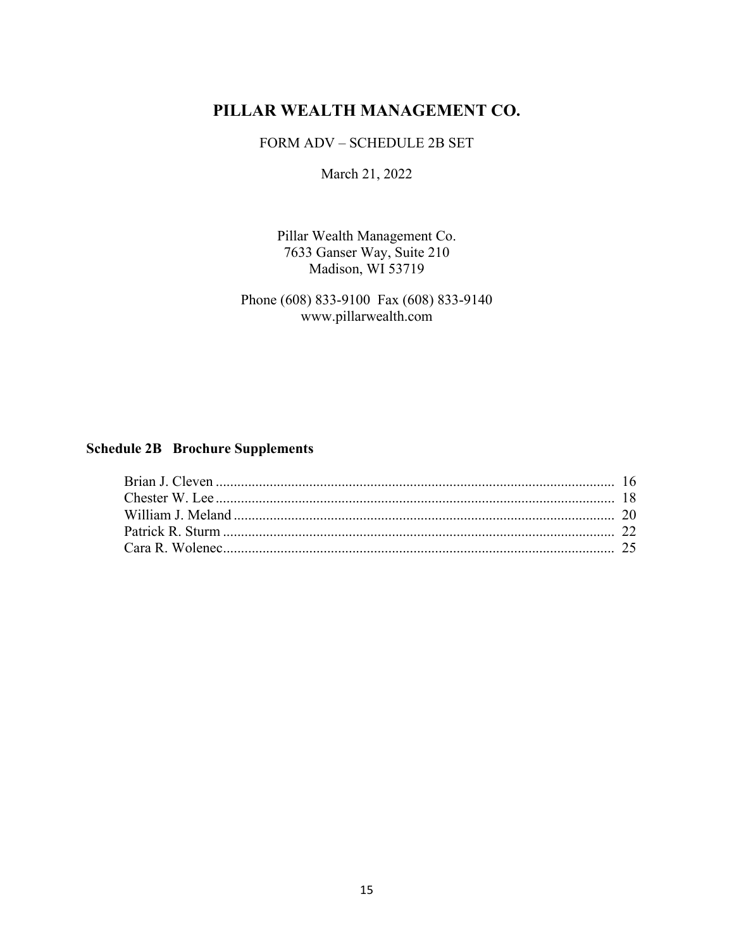# **PILLAR WEALTH MANAGEMENT CO.**

FORM ADV – SCHEDULE 2B SET

March 21, 2022

Pillar Wealth Management Co. 7633 Ganser Way, Suite 210 Madison, WI 53719

Phone (608) 833-9100 Fax (608) 833-9140 www.pillarwealth.com

## **Schedule 2B Brochure Supplements**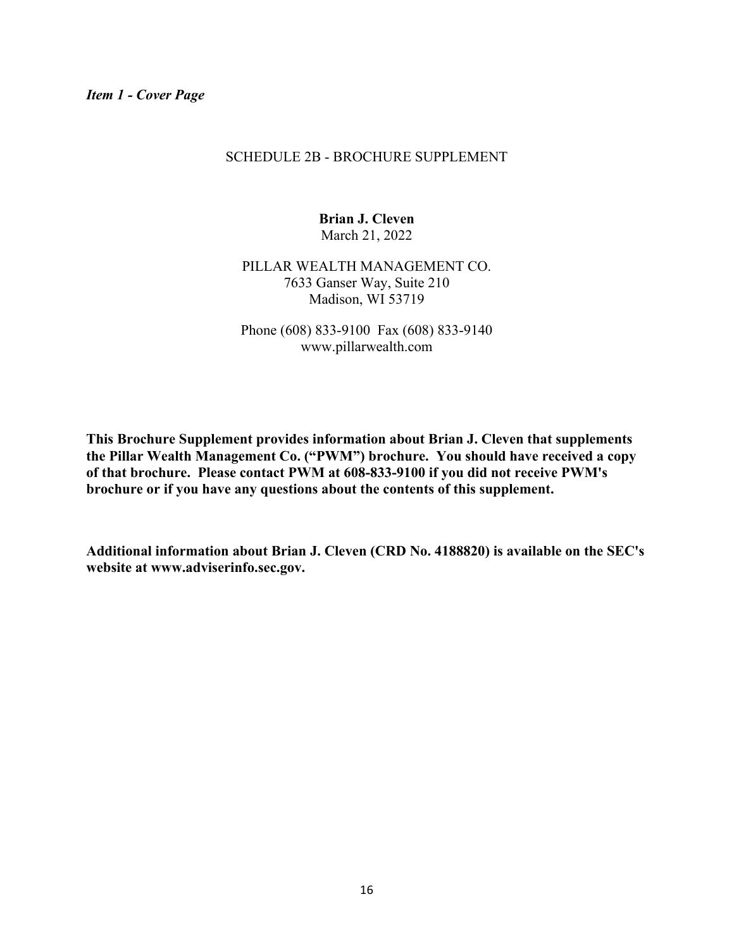#### SCHEDULE 2B - BROCHURE SUPPLEMENT

**Brian J. Cleven**  March 21, 2022

PILLAR WEALTH MANAGEMENT CO. 7633 Ganser Way, Suite 210 Madison, WI 53719

Phone (608) 833-9100 Fax (608) 833-9140 www.pillarwealth.com

**This Brochure Supplement provides information about Brian J. Cleven that supplements the Pillar Wealth Management Co. ("PWM") brochure. You should have received a copy of that brochure. Please contact PWM at 608-833-9100 if you did not receive PWM's brochure or if you have any questions about the contents of this supplement.** 

**Additional information about Brian J. Cleven (CRD No. 4188820) is available on the SEC's website at www.adviserinfo.sec.gov.**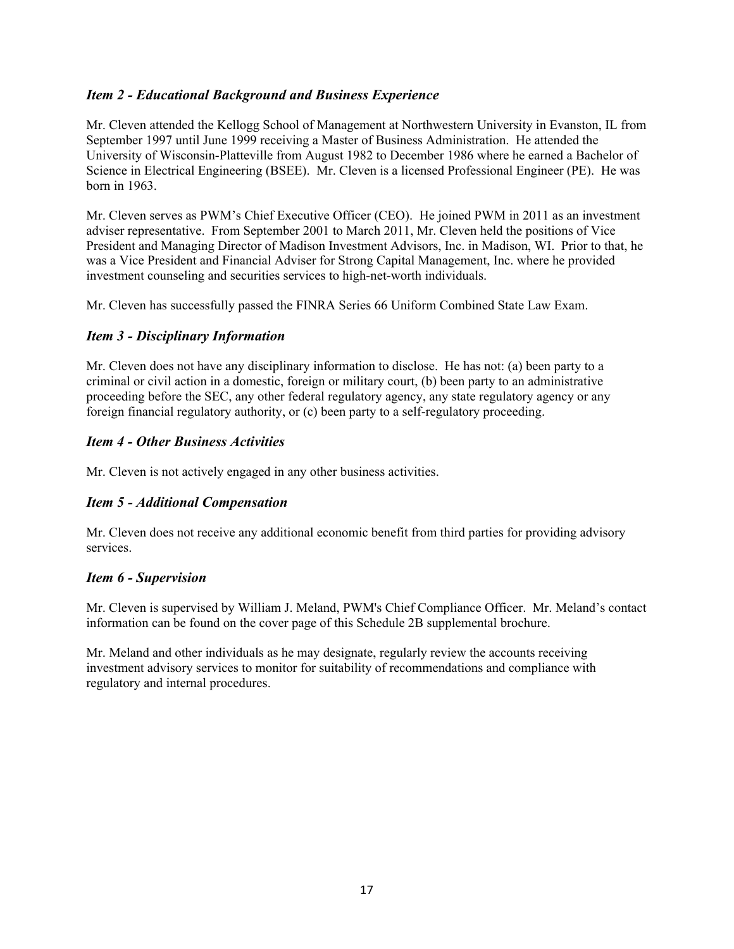## *Item 2 - Educational Background and Business Experience*

Mr. Cleven attended the Kellogg School of Management at Northwestern University in Evanston, IL from September 1997 until June 1999 receiving a Master of Business Administration. He attended the University of Wisconsin-Platteville from August 1982 to December 1986 where he earned a Bachelor of Science in Electrical Engineering (BSEE). Mr. Cleven is a licensed Professional Engineer (PE). He was born in 1963.

Mr. Cleven serves as PWM's Chief Executive Officer (CEO). He joined PWM in 2011 as an investment adviser representative. From September 2001 to March 2011, Mr. Cleven held the positions of Vice President and Managing Director of Madison Investment Advisors, Inc. in Madison, WI. Prior to that, he was a Vice President and Financial Adviser for Strong Capital Management, Inc. where he provided investment counseling and securities services to high-net-worth individuals.

Mr. Cleven has successfully passed the FINRA Series 66 Uniform Combined State Law Exam.

## *Item 3 - Disciplinary Information*

Mr. Cleven does not have any disciplinary information to disclose. He has not: (a) been party to a criminal or civil action in a domestic, foreign or military court, (b) been party to an administrative proceeding before the SEC, any other federal regulatory agency, any state regulatory agency or any foreign financial regulatory authority, or (c) been party to a self-regulatory proceeding.

## *Item 4 - Other Business Activities*

Mr. Cleven is not actively engaged in any other business activities.

## *Item 5 - Additional Compensation*

Mr. Cleven does not receive any additional economic benefit from third parties for providing advisory services.

## *Item 6 - Supervision*

Mr. Cleven is supervised by William J. Meland, PWM's Chief Compliance Officer. Mr. Meland's contact information can be found on the cover page of this Schedule 2B supplemental brochure.

Mr. Meland and other individuals as he may designate, regularly review the accounts receiving investment advisory services to monitor for suitability of recommendations and compliance with regulatory and internal procedures.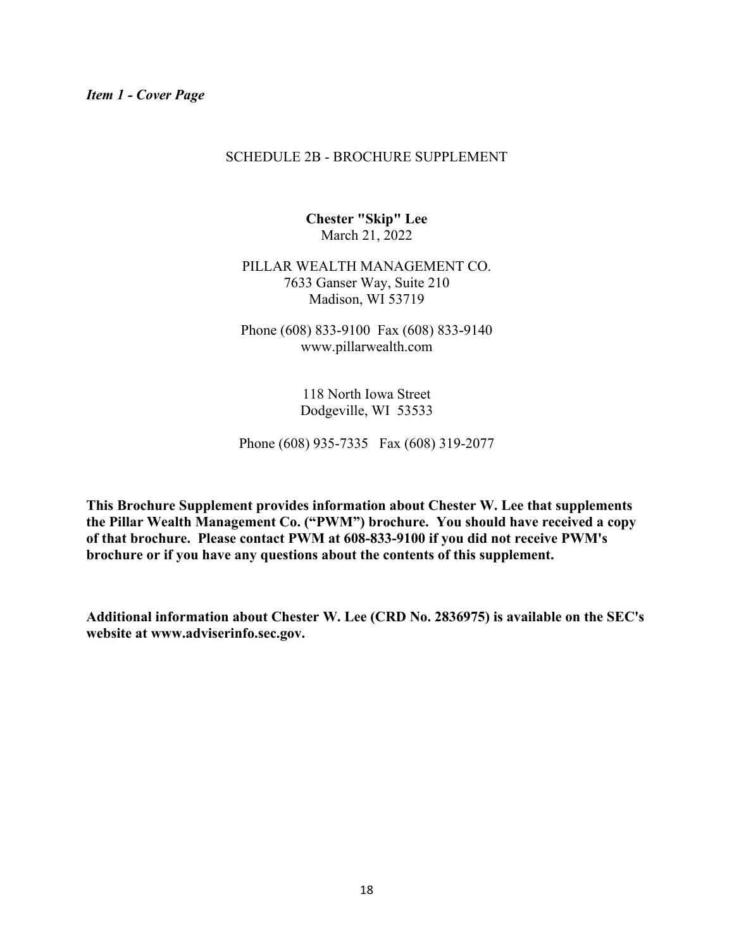#### SCHEDULE 2B - BROCHURE SUPPLEMENT

**Chester "Skip" Lee**  March 21, 2022

PILLAR WEALTH MANAGEMENT CO. 7633 Ganser Way, Suite 210 Madison, WI 53719

Phone (608) 833-9100 Fax (608) 833-9140 www.pillarwealth.com

> 118 North Iowa Street Dodgeville, WI 53533

Phone (608) 935-7335 Fax (608) 319-2077

**This Brochure Supplement provides information about Chester W. Lee that supplements the Pillar Wealth Management Co. ("PWM") brochure. You should have received a copy of that brochure. Please contact PWM at 608-833-9100 if you did not receive PWM's brochure or if you have any questions about the contents of this supplement.** 

**Additional information about Chester W. Lee (CRD No. 2836975) is available on the SEC's website at www.adviserinfo.sec.gov.**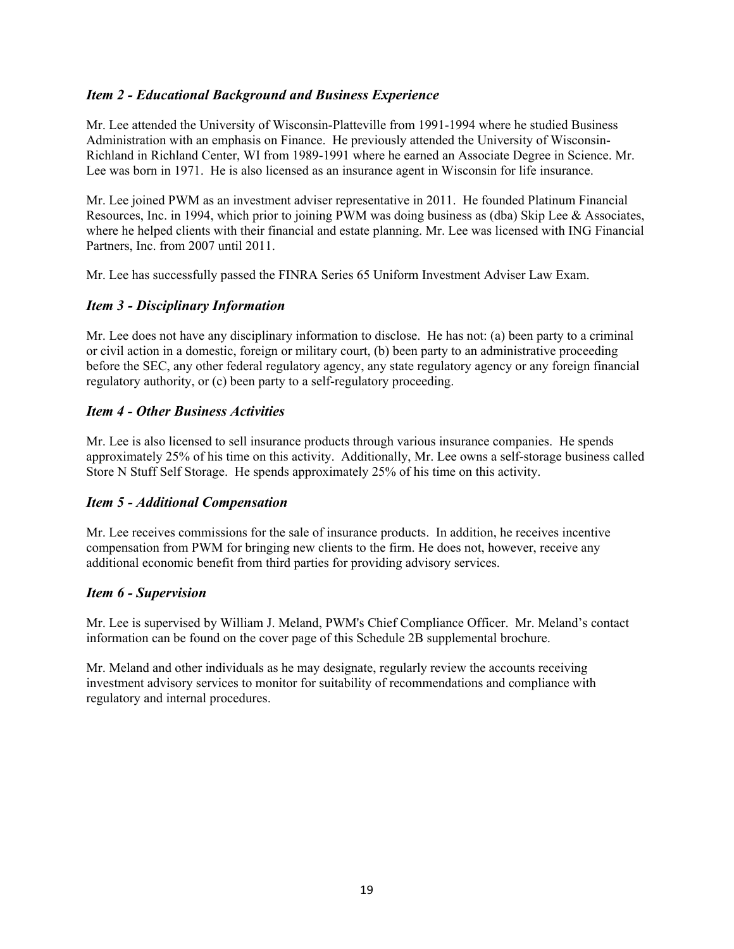## *Item 2 - Educational Background and Business Experience*

Mr. Lee attended the University of Wisconsin-Platteville from 1991-1994 where he studied Business Administration with an emphasis on Finance. He previously attended the University of Wisconsin-Richland in Richland Center, WI from 1989-1991 where he earned an Associate Degree in Science. Mr. Lee was born in 1971. He is also licensed as an insurance agent in Wisconsin for life insurance.

Mr. Lee joined PWM as an investment adviser representative in 2011. He founded Platinum Financial Resources, Inc. in 1994, which prior to joining PWM was doing business as (dba) Skip Lee & Associates, where he helped clients with their financial and estate planning. Mr. Lee was licensed with ING Financial Partners, Inc. from 2007 until 2011.

Mr. Lee has successfully passed the FINRA Series 65 Uniform Investment Adviser Law Exam.

## *Item 3 - Disciplinary Information*

Mr. Lee does not have any disciplinary information to disclose. He has not: (a) been party to a criminal or civil action in a domestic, foreign or military court, (b) been party to an administrative proceeding before the SEC, any other federal regulatory agency, any state regulatory agency or any foreign financial regulatory authority, or (c) been party to a self-regulatory proceeding.

## *Item 4 - Other Business Activities*

Mr. Lee is also licensed to sell insurance products through various insurance companies. He spends approximately 25% of his time on this activity. Additionally, Mr. Lee owns a self-storage business called Store N Stuff Self Storage. He spends approximately 25% of his time on this activity.

## *Item 5 - Additional Compensation*

Mr. Lee receives commissions for the sale of insurance products. In addition, he receives incentive compensation from PWM for bringing new clients to the firm. He does not, however, receive any additional economic benefit from third parties for providing advisory services.

## *Item 6 - Supervision*

Mr. Lee is supervised by William J. Meland, PWM's Chief Compliance Officer. Mr. Meland's contact information can be found on the cover page of this Schedule 2B supplemental brochure.

Mr. Meland and other individuals as he may designate, regularly review the accounts receiving investment advisory services to monitor for suitability of recommendations and compliance with regulatory and internal procedures.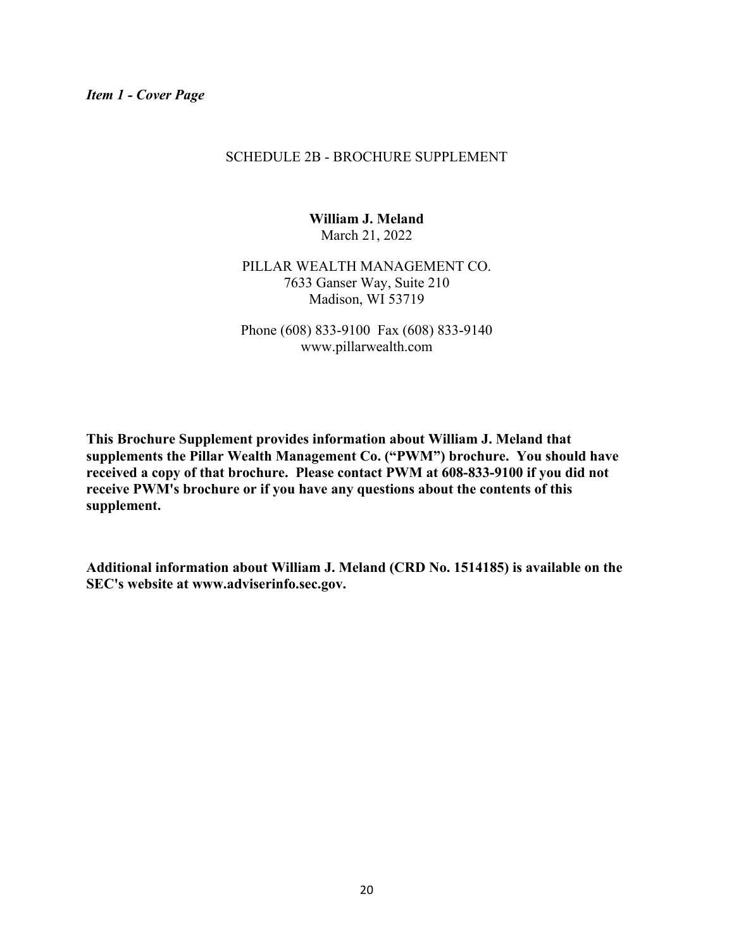#### SCHEDULE 2B - BROCHURE SUPPLEMENT

**William J. Meland**  March 21, 2022

PILLAR WEALTH MANAGEMENT CO. 7633 Ganser Way, Suite 210 Madison, WI 53719

Phone (608) 833-9100 Fax (608) 833-9140 www.pillarwealth.com

**This Brochure Supplement provides information about William J. Meland that supplements the Pillar Wealth Management Co. ("PWM") brochure. You should have received a copy of that brochure. Please contact PWM at 608-833-9100 if you did not receive PWM's brochure or if you have any questions about the contents of this supplement.** 

**Additional information about William J. Meland (CRD No. 1514185) is available on the SEC's website at www.adviserinfo.sec.gov.**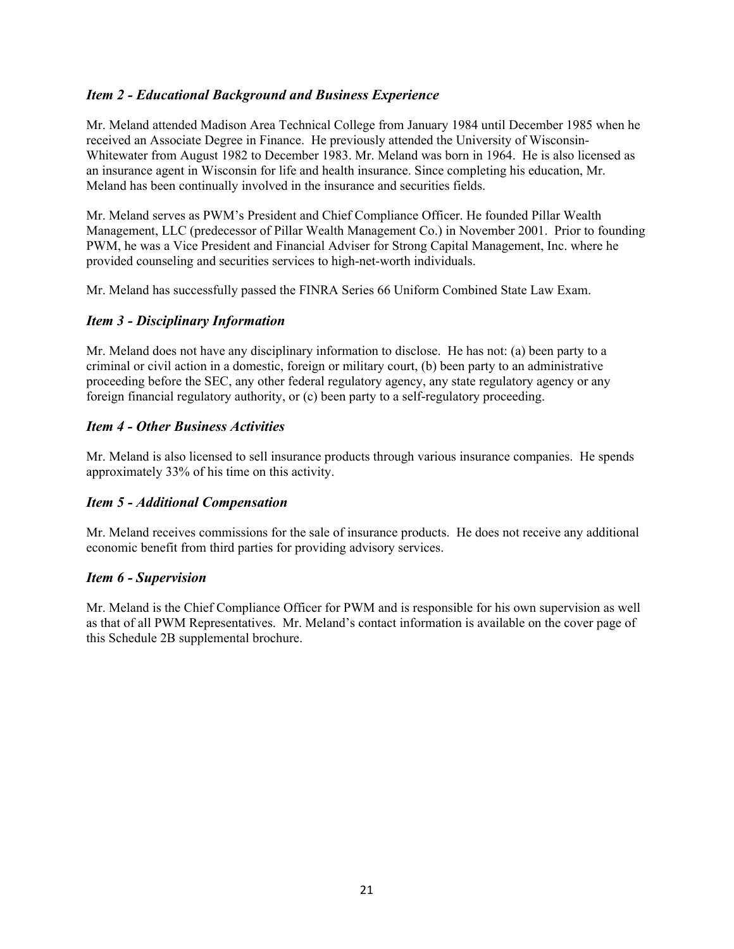## *Item 2 - Educational Background and Business Experience*

Mr. Meland attended Madison Area Technical College from January 1984 until December 1985 when he received an Associate Degree in Finance. He previously attended the University of Wisconsin-Whitewater from August 1982 to December 1983. Mr. Meland was born in 1964. He is also licensed as an insurance agent in Wisconsin for life and health insurance. Since completing his education, Mr. Meland has been continually involved in the insurance and securities fields.

Mr. Meland serves as PWM's President and Chief Compliance Officer. He founded Pillar Wealth Management, LLC (predecessor of Pillar Wealth Management Co.) in November 2001. Prior to founding PWM, he was a Vice President and Financial Adviser for Strong Capital Management, Inc. where he provided counseling and securities services to high-net-worth individuals.

Mr. Meland has successfully passed the FINRA Series 66 Uniform Combined State Law Exam.

### *Item 3 - Disciplinary Information*

Mr. Meland does not have any disciplinary information to disclose. He has not: (a) been party to a criminal or civil action in a domestic, foreign or military court, (b) been party to an administrative proceeding before the SEC, any other federal regulatory agency, any state regulatory agency or any foreign financial regulatory authority, or (c) been party to a self-regulatory proceeding.

## *Item 4 - Other Business Activities*

Mr. Meland is also licensed to sell insurance products through various insurance companies. He spends approximately 33% of his time on this activity.

## *Item 5 - Additional Compensation*

Mr. Meland receives commissions for the sale of insurance products. He does not receive any additional economic benefit from third parties for providing advisory services.

#### *Item 6 - Supervision*

Mr. Meland is the Chief Compliance Officer for PWM and is responsible for his own supervision as well as that of all PWM Representatives. Mr. Meland's contact information is available on the cover page of this Schedule 2B supplemental brochure.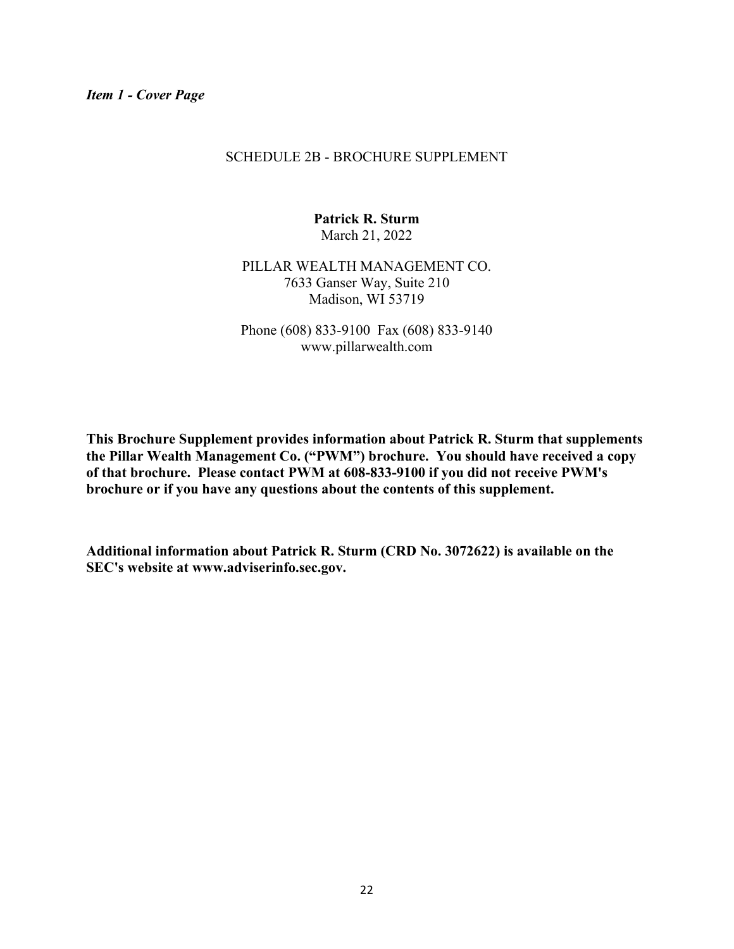#### SCHEDULE 2B - BROCHURE SUPPLEMENT

**Patrick R. Sturm**  March 21, 2022

PILLAR WEALTH MANAGEMENT CO. 7633 Ganser Way, Suite 210 Madison, WI 53719

Phone (608) 833-9100 Fax (608) 833-9140 www.pillarwealth.com

**This Brochure Supplement provides information about Patrick R. Sturm that supplements the Pillar Wealth Management Co. ("PWM") brochure. You should have received a copy of that brochure. Please contact PWM at 608-833-9100 if you did not receive PWM's brochure or if you have any questions about the contents of this supplement.** 

**Additional information about Patrick R. Sturm (CRD No. 3072622) is available on the SEC's website at www.adviserinfo.sec.gov.**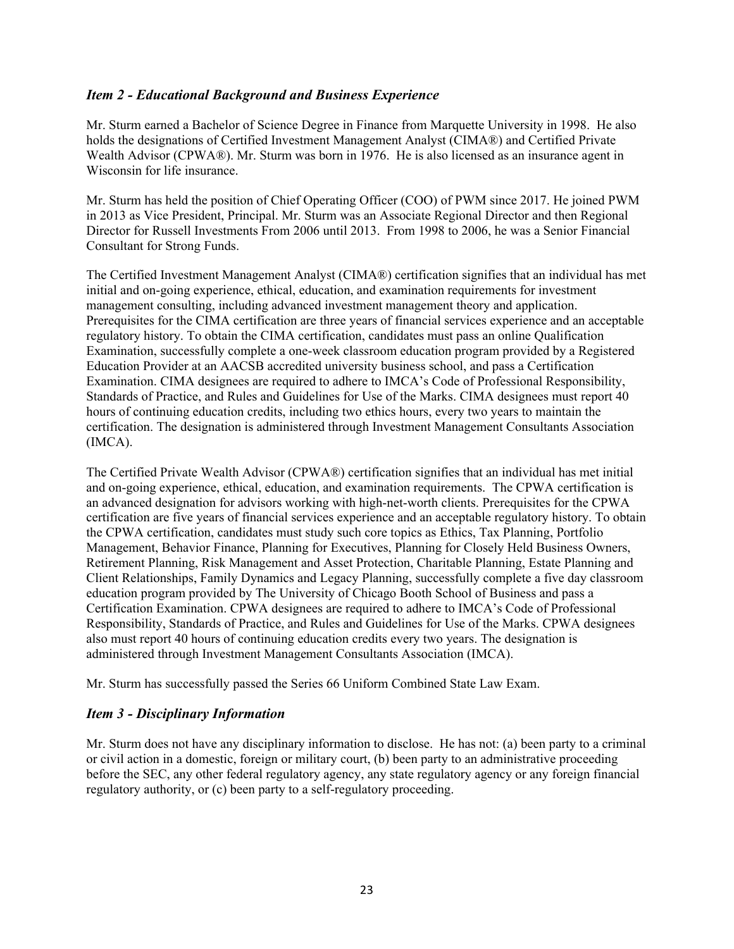## *Item 2 - Educational Background and Business Experience*

Mr. Sturm earned a Bachelor of Science Degree in Finance from Marquette University in 1998. He also holds the designations of Certified Investment Management Analyst (CIMA®) and Certified Private Wealth Advisor (CPWA®). Mr. Sturm was born in 1976. He is also licensed as an insurance agent in Wisconsin for life insurance.

Mr. Sturm has held the position of Chief Operating Officer (COO) of PWM since 2017. He joined PWM in 2013 as Vice President, Principal. Mr. Sturm was an Associate Regional Director and then Regional Director for Russell Investments From 2006 until 2013. From 1998 to 2006, he was a Senior Financial Consultant for Strong Funds.

The Certified Investment Management Analyst (CIMA®) certification signifies that an individual has met initial and on-going experience, ethical, education, and examination requirements for investment management consulting, including advanced investment management theory and application. Prerequisites for the CIMA certification are three years of financial services experience and an acceptable regulatory history. To obtain the CIMA certification, candidates must pass an online Qualification Examination, successfully complete a one-week classroom education program provided by a Registered Education Provider at an AACSB accredited university business school, and pass a Certification Examination. CIMA designees are required to adhere to IMCA's Code of Professional Responsibility, Standards of Practice, and Rules and Guidelines for Use of the Marks. CIMA designees must report 40 hours of continuing education credits, including two ethics hours, every two years to maintain the certification. The designation is administered through Investment Management Consultants Association (IMCA).

The Certified Private Wealth Advisor (CPWA®) certification signifies that an individual has met initial and on-going experience, ethical, education, and examination requirements. The CPWA certification is an advanced designation for advisors working with high-net-worth clients. Prerequisites for the CPWA certification are five years of financial services experience and an acceptable regulatory history. To obtain the CPWA certification, candidates must study such core topics as Ethics, Tax Planning, Portfolio Management, Behavior Finance, Planning for Executives, Planning for Closely Held Business Owners, Retirement Planning, Risk Management and Asset Protection, Charitable Planning, Estate Planning and Client Relationships, Family Dynamics and Legacy Planning, successfully complete a five day classroom education program provided by The University of Chicago Booth School of Business and pass a Certification Examination. CPWA designees are required to adhere to IMCA's Code of Professional Responsibility, Standards of Practice, and Rules and Guidelines for Use of the Marks. CPWA designees also must report 40 hours of continuing education credits every two years. The designation is administered through Investment Management Consultants Association (IMCA).

Mr. Sturm has successfully passed the Series 66 Uniform Combined State Law Exam.

## *Item 3 - Disciplinary Information*

Mr. Sturm does not have any disciplinary information to disclose. He has not: (a) been party to a criminal or civil action in a domestic, foreign or military court, (b) been party to an administrative proceeding before the SEC, any other federal regulatory agency, any state regulatory agency or any foreign financial regulatory authority, or (c) been party to a self-regulatory proceeding.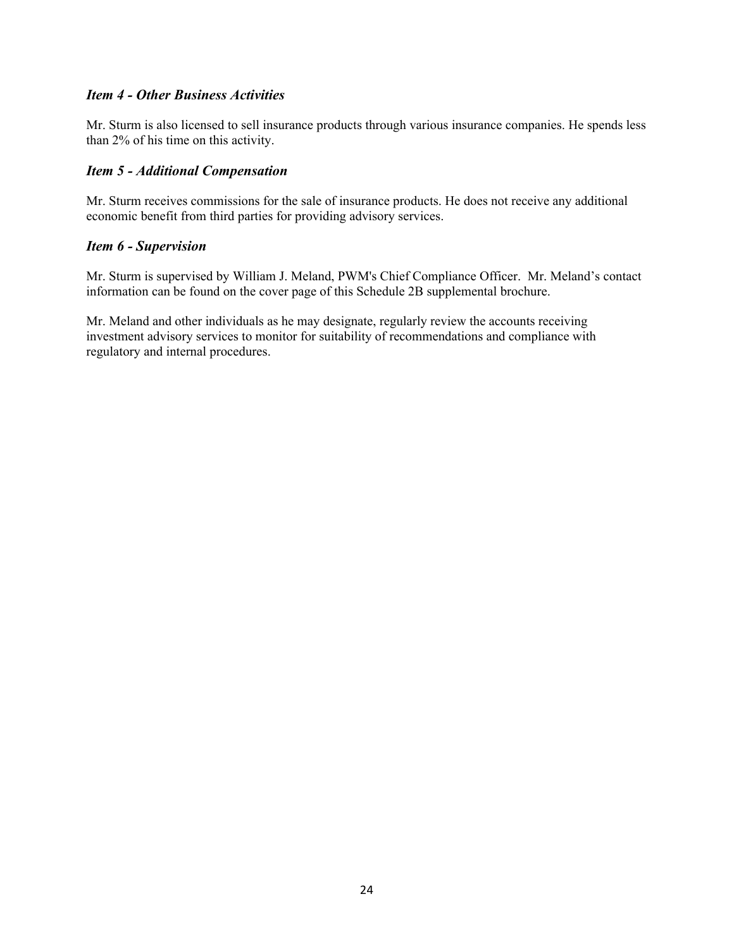### *Item 4 - Other Business Activities*

Mr. Sturm is also licensed to sell insurance products through various insurance companies. He spends less than 2% of his time on this activity.

### *Item 5 - Additional Compensation*

Mr. Sturm receives commissions for the sale of insurance products. He does not receive any additional economic benefit from third parties for providing advisory services.

#### *Item 6 - Supervision*

Mr. Sturm is supervised by William J. Meland, PWM's Chief Compliance Officer. Mr. Meland's contact information can be found on the cover page of this Schedule 2B supplemental brochure.

Mr. Meland and other individuals as he may designate, regularly review the accounts receiving investment advisory services to monitor for suitability of recommendations and compliance with regulatory and internal procedures.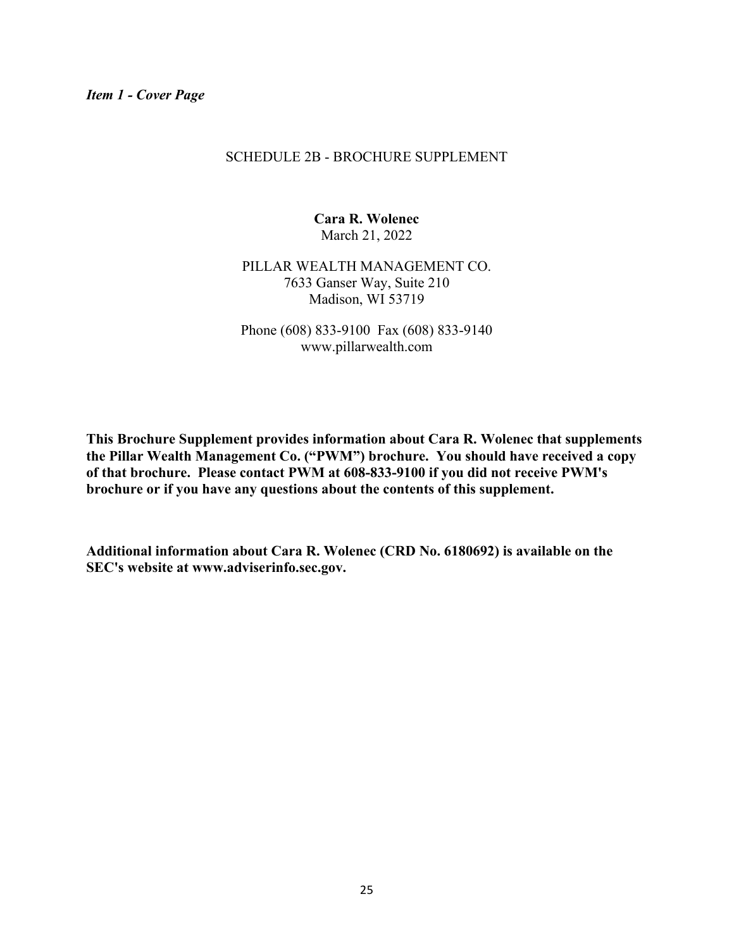#### SCHEDULE 2B - BROCHURE SUPPLEMENT

**Cara R. Wolenec**  March 21, 2022

PILLAR WEALTH MANAGEMENT CO. 7633 Ganser Way, Suite 210 Madison, WI 53719

Phone (608) 833-9100 Fax (608) 833-9140 www.pillarwealth.com

**This Brochure Supplement provides information about Cara R. Wolenec that supplements the Pillar Wealth Management Co. ("PWM") brochure. You should have received a copy of that brochure. Please contact PWM at 608-833-9100 if you did not receive PWM's brochure or if you have any questions about the contents of this supplement.** 

**Additional information about Cara R. Wolenec (CRD No. 6180692) is available on the SEC's website at www.adviserinfo.sec.gov.**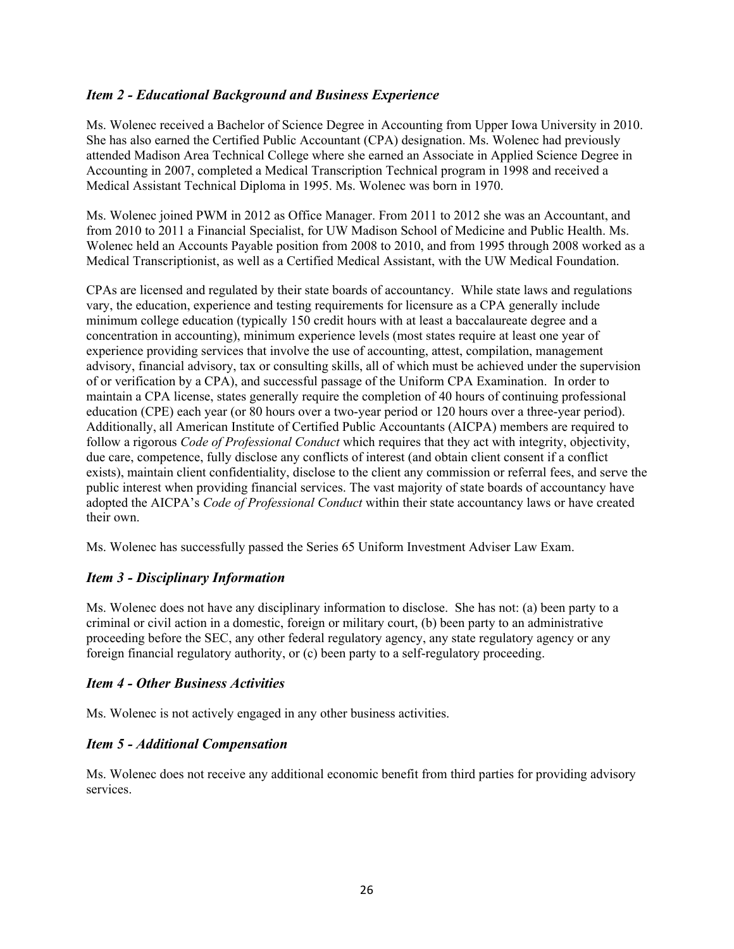## *Item 2 - Educational Background and Business Experience*

Ms. Wolenec received a Bachelor of Science Degree in Accounting from Upper Iowa University in 2010. She has also earned the Certified Public Accountant (CPA) designation. Ms. Wolenec had previously attended Madison Area Technical College where she earned an Associate in Applied Science Degree in Accounting in 2007, completed a Medical Transcription Technical program in 1998 and received a Medical Assistant Technical Diploma in 1995. Ms. Wolenec was born in 1970.

Ms. Wolenec joined PWM in 2012 as Office Manager. From 2011 to 2012 she was an Accountant, and from 2010 to 2011 a Financial Specialist, for UW Madison School of Medicine and Public Health. Ms. Wolenec held an Accounts Payable position from 2008 to 2010, and from 1995 through 2008 worked as a Medical Transcriptionist, as well as a Certified Medical Assistant, with the UW Medical Foundation.

CPAs are licensed and regulated by their state boards of accountancy. While state laws and regulations vary, the education, experience and testing requirements for licensure as a CPA generally include minimum college education (typically 150 credit hours with at least a baccalaureate degree and a concentration in accounting), minimum experience levels (most states require at least one year of experience providing services that involve the use of accounting, attest, compilation, management advisory, financial advisory, tax or consulting skills, all of which must be achieved under the supervision of or verification by a CPA), and successful passage of the Uniform CPA Examination. In order to maintain a CPA license, states generally require the completion of 40 hours of continuing professional education (CPE) each year (or 80 hours over a two-year period or 120 hours over a three-year period). Additionally, all American Institute of Certified Public Accountants (AICPA) members are required to follow a rigorous *Code of Professional Conduct* which requires that they act with integrity, objectivity, due care, competence, fully disclose any conflicts of interest (and obtain client consent if a conflict exists), maintain client confidentiality, disclose to the client any commission or referral fees, and serve the public interest when providing financial services. The vast majority of state boards of accountancy have adopted the AICPA's *Code of Professional Conduct* within their state accountancy laws or have created their own.

Ms. Wolenec has successfully passed the Series 65 Uniform Investment Adviser Law Exam.

## *Item 3 - Disciplinary Information*

Ms. Wolenec does not have any disciplinary information to disclose. She has not: (a) been party to a criminal or civil action in a domestic, foreign or military court, (b) been party to an administrative proceeding before the SEC, any other federal regulatory agency, any state regulatory agency or any foreign financial regulatory authority, or (c) been party to a self-regulatory proceeding.

## *Item 4 - Other Business Activities*

Ms. Wolenec is not actively engaged in any other business activities.

## *Item 5 - Additional Compensation*

Ms. Wolenec does not receive any additional economic benefit from third parties for providing advisory services.